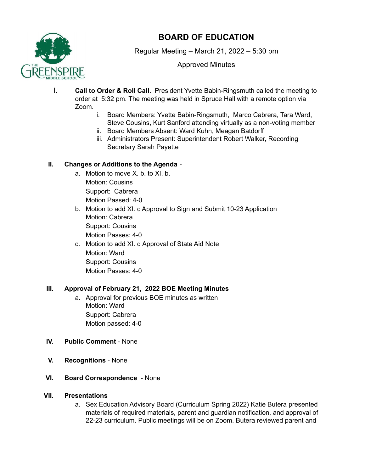

# **BOARD OF EDUCATION**

Regular Meeting – March 21, 2022 – 5:30 pm

# Approved Minutes

- I. **Call to Order & Roll Call.** President Yvette Babin-Ringsmuth called the meeting to order at 5:32 pm. The meeting was held in Spruce Hall with a remote option via Zoom.
	- i. Board Members: Yvette Babin-Ringsmuth, Marco Cabrera, Tara Ward, Steve Cousins, Kurt Sanford attending virtually as a non-voting member
	- ii. Board Members Absent: Ward Kuhn, Meagan Batdorff
	- iii. Administrators Present: Superintendent Robert Walker, Recording Secretary Sarah Payette

# **II. Changes or Additions to the Agenda** -

- a. Motion to move X. b. to XI. b. Motion: Cousins Support: Cabrera Motion Passed: 4-0
- b. Motion to add XI. c Approval to Sign and Submit 10-23 Application Motion: Cabrera Support: Cousins Motion Passes: 4-0
- c. Motion to add XI. d Approval of State Aid Note Motion: Ward Support: Cousins Motion Passes: 4-0

# **III. Approval of February 21, 2022 BOE Meeting Minutes**

- a. Approval for previous BOE minutes as written Motion: Ward Support: Cabrera Motion passed: 4-0
- **IV. Public Comment** None
- **V. Recognitions** None
- **VI. Board Correspondence** None

## **VII. Presentations**

a. Sex Education Advisory Board (Curriculum Spring 2022) Katie Butera presented materials of required materials, parent and guardian notification, and approval of 22-23 curriculum. Public meetings will be on Zoom. Butera reviewed parent and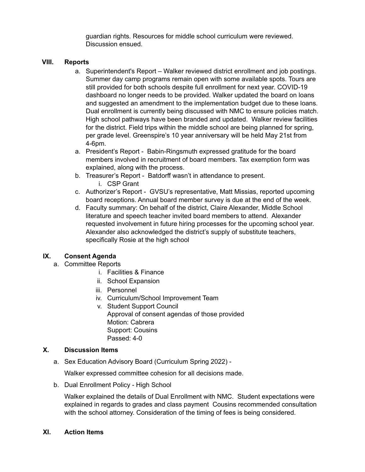guardian rights. Resources for middle school curriculum were reviewed. Discussion ensued.

### **VIII. Reports**

- a. Superintendent's Report Walker reviewed district enrollment and job postings. Summer day camp programs remain open with some available spots. Tours are still provided for both schools despite full enrollment for next year. COVID-19 dashboard no longer needs to be provided. Walker updated the board on loans and suggested an amendment to the implementation budget due to these loans. Dual enrollment is currently being discussed with NMC to ensure policies match. High school pathways have been branded and updated. Walker review facilities for the district. Field trips within the middle school are being planned for spring, per grade level. Greenspire's 10 year anniversary will be held May 21st from 4-6pm.
- a. President's Report Babin-Ringsmuth expressed gratitude for the board members involved in recruitment of board members. Tax exemption form was explained, along with the process.
- b. Treasurer's Report Batdorff wasn't in attendance to present. i. CSP Grant
- c. Authorizer's Report GVSU's representative, Matt Missias, reported upcoming board receptions. Annual board member survey is due at the end of the week.
- d. Faculty summary: On behalf of the district, Claire Alexander, Middle School literature and speech teacher invited board members to attend. Alexander requested involvement in future hiring processes for the upcoming school year. Alexander also acknowledged the district's supply of substitute teachers, specifically Rosie at the high school

## **IX. Consent Agenda**

- a. Committee Reports
	- i. Facilities & Finance
	- ii. School Expansion
	- iii. Personnel
	- iv. Curriculum/School Improvement Team
	- v. Student Support Council Approval of consent agendas of those provided Motion: Cabrera Support: Cousins Passed: 4-0

## **X. Discussion Items**

a. Sex Education Advisory Board (Curriculum Spring 2022) -

Walker expressed committee cohesion for all decisions made.

b. Dual Enrollment Policy - High School

Walker explained the details of Dual Enrollment with NMC. Student expectations were explained in regards to grades and class payment Cousins recommended consultation with the school attorney. Consideration of the timing of fees is being considered.

#### **XI. Action Items**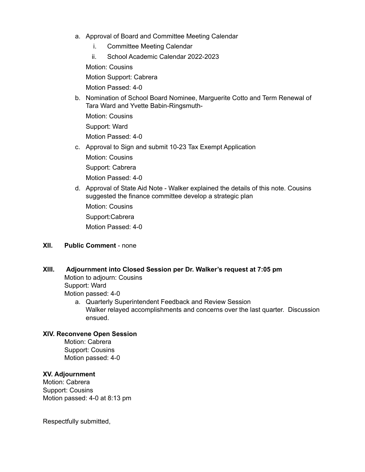- a. Approval of Board and Committee Meeting Calendar
	- i. Committee Meeting Calendar
	- ii. School Academic Calendar 2022-2023

Motion: Cousins

Motion Support: Cabrera

Motion Passed: 4-0

b. Nomination of School Board Nominee, Marguerite Cotto and Term Renewal of Tara Ward and Yvette Babin-Ringsmuth-

Motion: Cousins

Support: Ward

Motion Passed: 4-0

c. Approval to Sign and submit 10-23 Tax Exempt Application

Motion: Cousins Support: Cabrera

Motion Passed: 4-0

d. Approval of State Aid Note - Walker explained the details of this note. Cousins suggested the finance committee develop a strategic plan Motion: Cousins Support:Cabrera Motion Passed: 4-0

### **XII. Public Comment** - none

#### **XIII. Adjournment into Closed Session per Dr. Walker's request at 7:05 pm**

Motion to adjourn: Cousins Support: Ward Motion passed: 4-0

> a. Quarterly Superintendent Feedback and Review Session Walker relayed accomplishments and concerns over the last quarter. Discussion ensued.

#### **XIV. Reconvene Open Session**

Motion: Cabrera Support: Cousins Motion passed: 4-0

## **XV. Adjournment**

Motion: Cabrera Support: Cousins Motion passed: 4-0 at 8:13 pm

Respectfully submitted,